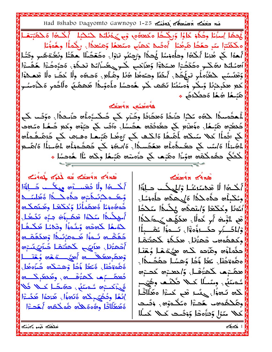Had Bshabo Daqyomto Gawnoyo 1-25 مَسْتَعْمَى 1-25

لْمَحْفَا إِسْتَمَا وَحُكَّوْ كَاوُا وَرَبَّكْتُمَا مَكْعَنَّهُمْ وَجِي كَمُنْائَمْ لَحْكُمْ أَكْتُمَا هَكْكَبْتُهَا وكَكّْتُتْرَا مَبْرِ حَمَّحًا هَٰزِهُمْا ﴾ أُوضَهْ تَعْفَرُوا وَمَسْتَمَالِ الْمَحْدَالِ وَجَدَدُنَا أَهمًا ﴾ هُزِيًا أَحْدُهُ! وحلُّوفِيبًا هُحِدًا ورْحِيْبُو نَزْوَا. وكَعْحَيْلًا هِعَتُنًا وِيُعْدَهَمِ وكُتُبا أَسْطُمُ لِتَحْمَدِ وَكَتَحَةٍ! مَسْكَمْوْٓا وَمِنَتَمِي كُنْبِي مِمْنَةٍ وَكُنْتُ مِنْ مَقْلَةٍ وَا وَهْنُسُبِ لِحَعَّزُهِ لَر فَرَيُكُمْ. أَحَطُرُ وحمَّوهُا هُلُا وِهُـأَمْ. هَدهُه وِلًا عُدَّ: هِلًا شَعباؤا كُتْمَ هَكْبِيْبُلْ وُحْكُو وْمِنْتُنَا تَتْقَتْبْ حْمَاحْتَنَا مِلَّاهُ مِثْلًا هُتْقَصَّبُ مَلَّاهُم مَكثوبت أَهْبُـمُا شُمُا دَحثَكَاتُ \*

## بالمحافظ المستحدث

لْمَحْمِىمُا كَلَّهُمْ عَكْرًا حَبُّحُا هُمْحُرْحًا وَحُنْرٍ كُلِّ صُكْبُوْهِاً، وَحُمَّارٍ. وَوُصَّد كُلّ كَحْمَٰرُه هَٰٓبُـمَا. هَؤُمْنُهُمْ لَكُمْ حَمُّْمُدُوْهُ حَقَّـبِيُّال. هَأَضًا كُلِّ حَزْوُه وِكُمْ شُمَال مَنهف لَّٰٓ اثْمَلًا كَلا سَكْلَه لَمَّنفًا هَالْحُد كُمْ رُوهُا هَبُنِعَا وَفَيْهَا مِنْ كُمْ خَامَّنْفُولُه لمَّمْتِلًا هَامِنَت كُمْ حَقَّىقُوَلُمْ مَعْضَبِيكًا. هَاسْتُوْ كُمْ خُصْحُوْلُمْ لِمَّاسْتِلًا هَاهُتم لْحُثَكِ حَقَّدَحُدُه هَوُءُ! مَثَبِّعًا حُزُّمَتُهُ هَبُعُهُ! وِكْلَهُ ءُلَّا هُدَهَمًا \*

بلاءُمْكُمْ بِدْمِكْ مَتْ بَلْتُكُمْ بَدْءُ مَدْمَكَ بِكَامَةٍ أَحْدِدُا وِلَا دُهْسِيْرُهِ مِيكُبِ دَّاؤْا وٌىعَـــەكْئِىمَّتْرَە جەھْەلْـــدًا ةَھَاسَـــد خُوۋەونا ۋەھمُەلُرا ۇختىشا ومُسُمك أَحِكْـٰهُا مَـٰكُمُا هُـٰهًـٰ فَوَٰفٍ حِـرٌه تَكْـُعُـٰاً. للدَّمُل كُلُودُه وُسُّوزًا وثَلابًا هُكُنفًا كَفَتْفُ وَ تُنْدِرُا هُـُـدْمُرُنَّكُمُّا وْمِكْفَفْ و أَحْمَنُوْلِ. مِنَاتِي لَكْمِنْتَهْا خُبَاتِيَ لَبِيَامِ وْهِكْبْهِيْكُلُّلْتُ مِنْ أُهْدًى الْمَقْرَةِ وَحَقْسًا ةُهُودُمْل: وَمُعْلَل ذُكِلَ وَهِسْكُلُ صُنُوهُل: صُحِکَمِ مَعْ کَجِيَّةَ مِنْ وَهُدِهَ کَمِيَ فَيْ تَكْسَرْهِ شَمْعَةٍ . حَقَّ حَمَّا كَسَلا قَلا إِنَّمَا وِدُهُيَ كَرْهِ وَتَوَوَّلَ. هَٰزِدَهُ | هَٰذَــْزَا ةَمَعَكَلَاتُهُ وَهُوَمَكَلَّاهِ هُوكُهُهِ أَحْدَرْا

LIGHT LIGHT أَحْدَهُ! لَا مْحَمَّدَسْهُ وَالْمَحْمَدِ حَيْوَٰٓاْ! ونُكْبِلُه حِثْمَكِمُّا هَ/بِحِكْمَ حِلْمَوْسًا. ٱعْمُلْ وِحُكْمْا وَٱسْعَمْهِ لِمِنْعَا سَكْحَا هْمِ لْمَوْْمِهْ أَمِ يُدَلُّلْ. هكَهُكَ حَكَّمَكُمُّا وْٱلصَّـزَٰوِ حَكَّـاؤُهوْٓا، نَــوزُاۚ نَصْـرِلُا وكعفُوهب حْمِتُوْل. مِكْلُو كُمِتَنْهَا حَفَّمَاؤُهِ وهَّرْجِهِ كَلَّهِ هِيَّةِهَا وُعْمَلَ ەھُەوْحُتَا. ێڠا وۡحُا وۡعِسُا حِمُحُـبِدَا. مَعَشِمَ لَكُمْتُوْصًا. وَالْمَعْشِرَةِ لَكْمَشِرَةِ ئَـٰہمَٰنُو. ومَنْسُلًا كَــلا تُكْلُــف وَتُحَيْ لْكَالْمَعَا أَيْسَكُمْ هُمْ كَمْسْرِ ، أَمْمَتْ مَكَلَّاتْنَا ا وهَكْشُوهم هَدَّرَا وَعَكُووُهِ . وَصَّت كْمِلًا ۚ مَنُوُلٌ وَحَتَّوَهُمْ وَوَقَّعَتَ كَمِيلًا ۚ كَمِثْلًا ۖ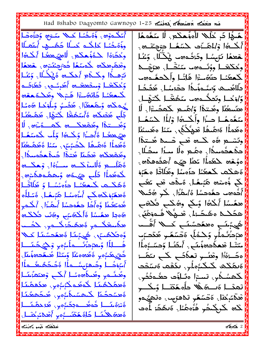Had Bshabo Daqyomto Gawnoyo 1-25 مَنْتَ بَيْنَ الْمَسْتَعْمَى بَعْضَة بَعْضَة

أَعْكُمْوْنَ. وَمُمُثَلَّ كَمَلًا مُنْتَوِّي وَضُوْمَهَا وَوَّةَ حُمُدًا كَانَّكُ مَسْلًا حُصَّى الْمُحَلَّل وحُدَّدُهُ لِحَدَّوْهِكُمْ. لُامْكِ هِجُدًا أَجْدُوا وقعَ محكم للمسِّمَا دُمْ وَسُبْرِهِ . هَعمَا تَبْصَدُا وكَـدْم أَحكــه ةَهْكُـلًا. وَعُـُـلَّا وُكْتَحْسًا وْمِنْتَعَمْشُدُه أَهُرِشُمْ. فُعُرْضُم للعمكنا كاتمهُ أ كَبْلا ومُللهُ مِمْس يُدكُرُه وُحَكْمُلاً. هُتُسْرُ وُلَمْوَكُلْ هُءَنَا َ كَلُّ هُصْكُمْ ۚ ٱُمۡمُعۡقُلُ كُتَهُلُّ. هُـڡُمُعُنُـلُ وَقَدِّ يَوْلُ وَهُدَهِكُ مِنْ كُلِّكِ وَيَوْمٍ فِي الْمُرْكَبِينَ محْيِمِعِمَدًا وَأَحِيزًا وَحُدِمًا وَلَمْ حَدْمَهُمْ ةَهَداً أَوْهَدِهَا لِلْحُسَّ ِ، مَنْا وَهَدَهُدُا ومُعْصَدُه مْحَمَّا مُتِمْ حُمْهُ مَدْمِدًا. ةَهَّابِ وَٱلْمِتْرِكْتُ مِيْدُوْلِ. وْهِكْتُ لَّكَمُعطَٰا كَلَبَ حَيْكَ‰ وٌمعَقَّـوهكَـرْ«. ةَهَكَــم كَــعمَدُ لـ دأوسُـل وَ هَلَاتْــل ةُهمَّرْفِكُلُّكُمْ أُخْوَمُهَا هَُهُمَّانَ وَّعَالُهُ وَ هُدمَعُمُل وُه∫ُدًا حِمْدَسُل أَحدُٰ: ﴿ أَحْدَمِهِ هَٰوَدٍا مَعۡسُلًا وَٱلۡكُلۡمَٰنَىٰ ۚ وَهَٰنُـ ثَكُلُّـ وَ ھكىمقگ ەپر ةَھھَىدَنگ ەبر. لادُـــب وُوطَحْمَــِّي. هُي بُسَّا وُهمَّحسَّسًا لَمــلا فُــالأَا وُحدَدَتُـــواُنُوهِر وْحَكِحُتَــا ثْمَىٰ هَدَّوْهِ وَقَدْهِ مِنْنَا رَجِّمَتْنَا هُمْ هُدَهُ وَمُنَا. أَعْرَفُكُمْ وَشَدْءُبِمُكُمْ أَوْ دُمُكُرْهُ مِثْلًا وَلَيْسَاءُ الْمُسْتَدِينَ وهُبشُمير وهُبِكُلِهِمِيْنَا أَيْكُبْ وْهِيْعَنِّيشَا ةُممَحْهُمَا حُدمَحْهُ وَمِي. مخْفَمَّنَا ةَ مِسْجِحُمًا لِكُنْبِهِمْنَاهُ وَيَ الْمُحَمِّكَةُ أَ ةٛدْوَّسُّــا شُەھُـــەقصُرُەبن. ھَٰـْتَــْصَنَّــا ةُههَلاَمُّــا خَاةُهُمَّتْسُــرُوبِر أَهْلاَــُرِيْدَــا ِ.

مَّيها جَر حُلَم الْمُؤْهِدُ لا يَحْدُهُ أَكْـدَّا وْالْمَـزَى حْسَمُـا حِرْجِنْـــه. هْتِعْمَا نَرُبِسُا وِدَٰثُـٰهِ ۚ وَلَٰٓ وَلَٰٓ اللَّهُ وَعُنُـا وحُكْفَــا ووُنُـــە∞ٮ مَنْثَــا. مرَوْجَـــــــا لكعكئبا حنَةَ بَزَا فَاتُبا وأكحفُءهم جِّلْلْمُحِيمِ وَانْشُوَفُواْ حَجْزَائِيل. مَجَمَّجُوا وَافْكُمْ وتُعِكْدُهِ مَعْمَغْشَا كَتَهْلُ. هنَّسعُنُا وهُـتِدْا وَاهُــع كَـٰمَــْتِزَا. لَٰا مَعْدَدُ الْكُرْهَ وَأَحْلَاهُ الْمُسْمَا ەھَداُا ەَاھَىڧَا ھَوْكُلُمْ. مَىْا ەھَسىُلُا وَتُسْـعِ وَهُ كَـــو قَبِ تَـــمِّهِ هُــتَمْلَ حكْمحُدمدُا. وهُـم ولًا ميرًا محُلًا. 96. المَعْماءُ الله عَهْد الْمَعْدُ مِنْهُمْ . ةهكف لمععَّمُا حَرَمِمُا ومَكَلاَثَا مِعَرَف كُمْ وُّەسْلَا هُبُمُمَاً. ەُلْمُكَ هُمْ مُحَكَّم أَحْده حَقَّدَسُلَّ ٱسْكُرَّا. كُلِّ هُدًىلا همُسُا أَكْدُا وُكُمْ وِهُكُبْ ثُلَاهُب هكَــده معْمَــزا. شَــوْلا فُــووْهُهَ. ھُی ٖٓئَبَ وہمُحسَّنَے کے اُقَّے۔ |مَزَحَزُنُـمَلُر وُحْـمُلًا هُحْـمُـمْـرِ هُنْحَـزِبِ مَتْنَـا مْعَكُدەؤْمَـّى . أُمثَنُـا وَحِمَــرُه أَا ەكَــزەُاْل وقْشــو تىمكَنــى كـــى ىـككـــز ەَيەڭگە گىگىزْەلُر. يكفّق ەيئىقق كْھسُـكُمْ. تَسْتَرَا وَيُـاذُفْ حَقَّـەفُفُر. تعنْـا ەَسـەَىْلَا داْەممَنْسْـا وُحْسـىر ْ هَٰذَ*كَرِ*كُنْلُ. هُٰتَـَسَّعَبِ لَكُاهِكِمِبٍ. هِلْـْشَيْـُدِهِ ِكْلَاهِ كَلِّجِكْسُو فُزُّەهُمُّا. ەَىھَكَرْ لُمُص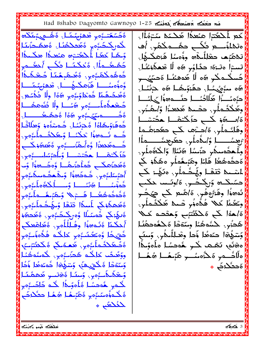Had Bshabo Daqyomto Gawnoyo 1-25 مَسْتَعْمَى 1-25

ەڭگەنتەۋەپر ھەھۇبكىلىل. ھُھُسىركىنىڭ ِّكُورِكِيضَرُو، وَمُحِكْمُ*تُ*ا. وُحِكِيضُنَّا وٌحِصًا كَعَمَا لَمَحْقَدَهِ عَنْصِدًا مِكْتَمَا دَهُىڤُ\_ەلُل. ةَحُكْسًا ثُكُــ أَحْفُــو، ڞۘڡۿؘڡ<mark>ڵڞؘڹٛ</mark>۪ٯؠڔ؞<mark>ۿؘڞؘڞؘڔۿٮ*ێڵ*ٳڞڞڴؠ</mark>ۿؙٳ وُودُوسُـــا فَرْعكُمُـــا. مْعرُسُسًــا ةَهَْحَضَفَّىنَا خُوجَاوَجَومِ وَوَوَا وِلَا كُلُّصُونِ دَّىڠمِدْهِ أُنْـــــرُهِ وَيُـــــل وِلَّا دُنُّهِ مِثْمَـــل خُوفُرَوُ حَمَاهُ | وَجِرْتُنَا }. خُـومْتَرُووْ وَمِكَلاَتْنَا } حُــد نُــدهوُّا تَكْنُــا وُتعَكْشُـداً وُمِن دُّـــومَٰدهدُا وُوأَىعُنُوــــرُوبِر وُمَٰدِوَىٰ كَـــــــــو كَرَكْنفْـــا حَدَّتْسْـــا وُـأَدَّمَّاتْـــوْمِ. ةَ مَحَرَّدَتِكُ حُدَادَتَكُما وُءكَــــ وَدُ أَدَّىْمَاءُونِ . شُەكْتُوْا وُلِمْاھشُەنىڭدۇن خُوْمُسُــــا وَكُنُــــا وُـــــاْكُرْفُواْئُوي. وْدُودُوهُكُما فَسْرَىٰ وُجِدَّعْدُ وَأَخْوِي ةُهُعكُوْكُمْ أَسْكًا ثَنْقًا وُخُمُّدُواْ وُوْ ەُنهُنگ خُمسًا وُەرگىِضُرُەين ەُھُڪھُو أَحكنَا ةَنُـوووُّا وفُـالمُأْوبِ. ةَهَٰاهَعكم ثُمَّكِطُ وُمَعَضَّضُرُهِ ۚ كَالَمَّهَ فُلُهُ وَضُرُهِ ۖ ەڭگىڭم<sup>ا</sup>ئومى. ھىمكىگ ەڭگ*ىشى* ووَهُدفُ كَالِكُم هُجَزْجُوي. كُمِنْدَهُمَا وَسَتَوْحًا وَجَدَهِ وَمِتْلَهُمْ الصَّحَمَةِ وَحَدَّمَهِ وَحَدَّمَهِ وَحَدَّمَهِ وَحَدَّمَهِ وَحَدَ وًىقْدَامِدُومِ. وَمِيَا وُوْتَسِ مَعْمَيْنَا كُنْفِرِ هُوَصِبُنَا وُلَمُورُنَا اللَّكُمُ كَاكْتُرُوبِ ةَكُدْوُمِنْتَرُوبِر ةَهُبْتُمَا هُمُا حَثَكَرَكُمْ لمُلْكُب \*

كَعِرِ لَمَحْقَّتِهِ مَعْجَدًا هَجَمَدَ مَتَوَمَلًا. لْلاهَبُِّ حَمْْلِلُـٰدَ، وفُوسُا فَرْعَكُـٰذُا. تَسْبَرا دَنْـزَدًا حَكَّـاوُبِ ۞ه لًا شَعَـدَٰتُـٰا. كَسْگُــدْكُرْ ۞ه لْا هُدْهْنُـا هَجْنَهُــر الْمُو مِنُوْمِهُمْ لِلْمُؤْمِنُهُمْ لَهُو حَرْسُمْ. دَرُه الْمَالَّكُ الْمُسْلَمَّةِ الْمَسْلَمَةِ مِنْ الْمَسْلَمَةِ مِنْ الْمَسْلَمَةِ مِنْ الْمَسْلَم .وهَكْشُملُر. حصْـم هُنحعـزُا وُٱحكُـزُر. ة/بۇز كى داڭتۇبا ھڭتشىل وفَلْصْمَلُرٍ. هُ/َدِيْهِ كُلّ حَعَدْتِهُـهِ ا أَرْهِمُكَـــــا وَٱمْذُه اُمِ. حَعَرِهِمْـَــــــه اُا وِلْمِثْمِسْلُمِ حَنُسُلَ هَٰنُنَالَ وَالْحُدُّهِ مِلْمٍ. |ەَحثُّەھُمُّا فَامْا وِهَبُعُمْلُرٖ ەھَكُوْ كَح لمشمط قتفْل وهُبشُـملُر. ونَهُـ: كُبِ ھسُنگ، وُرِگِنھُــو. ۃُاوِنَــب ھگب ئُەھۇا وقَزْوقُو. ەُاھُىم كَى ئَكْسُر وكعَّىنًا كَلا قُذْهَوُ وَحَمَدْ هَكْشُمْلُو. كَاهِدًا لَكَمْ مُكْتَنْتِهِمْ وَهِتْدِهِ كَمِلًا هَدُو. حَشَوهُمُا ومَتَوْمًا هَكَعُودهُمُا وَْسَوُٰهَا حَمَاهُا وَحَا وِهْلِلْبِكُنِ. وَسَبِّ ەۋئى ئىھىم كىر ھەدىئىل داۋىدا ەللگىمر ەڭدەئىسر ھېگىل ھگىل |ەَحثَلابٌ \*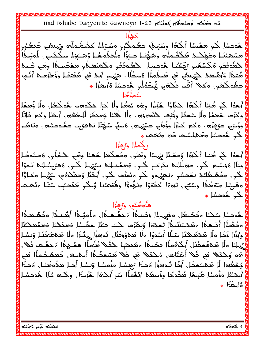Had Bshabo Daqyomto Gawnoyo 1-25 مَسْتَعْمَة بَعْضُهُمْ Had Bshabo Daqyomto Gawnoyo 1-25

هُوَجِبُهُمْ كُمْ مِهْتَمَا أَكْتُوا مِنْبُنِكُمْ حَقَدَكْبُرِ وَمُبْتِلًا كَذُبَقْدَاْتِهِ وَيَعْفَ خَنفُبُر همَهِمُنَا وَكُوْنَكُمْ هَٰكُثُـُواُرُه ۚ وِهُوَٰنَا كَيْوَٰا وَأَدَوْهُوَهَا وَهِجَوْا سَكُفَبٍ . لَمُؤَبِّدًا لْمُفَادُمُو مُكْتَنِّصُو ۚ رَجْنُتُمْ هُوَجِيْنَا ۖ لِمَشْوَدُو وَكُلْمَتِيْدُو مِعْجُسِيْدًا ۚ وَقِي شَيْدًا مَّتِمْٓا وَاصَّعِدا حَيْبِهِ مَّى مَّىـدُّهاْ وَسَطُّا. هيُبِ أَبِدْ هَي مَّحَّتِصًا ووَمَتَعِبْدا أَنَّـه حَقُّه كُتُم، وكَذَا أَقُد تُكْرُوم هُمَكْمُ جُوحِمًا وَٱحْدَٰا ﴾  $\mathbf{h}$ 

أَهدًا ﴾ هُزِيًا أَكْدُا كَذَاوُا هَزْنُوا وِهَو عَوهُا وِلًا حُبَا حكوهب هُوكُعُا. ولَا وَهِهَا وِكْنُوب هَعِمُا وَلَا سَعِطُ وِذُوْفٍ حَنَّوْهُوَ. وَلَا خُلْنَا وَمِحِجَّرَ لَاعِعُقُوهِ . أَحَطُرُ وكع قَاتَا ووُسِّى حَرِّهَارَهِ . مكتر كَنْتَرَا ووُمَّابٍ حَسِّيْهِ . هَمْنَي سَكْتَتَا لَمْاهِرَسِ حَقَّـهِحَسَّرَ . هلاهُــز لَّكُمْ هُوَجِئْنَا وَهُدَاءُمَّنِتْ ذُرُهِ وَنُثَقِفَ ﴾

## رِجُماُ! وَرَجْزًا

أَهمًا ﴾ هُزِيًا أَكْمًا وَحِصَبًا بَهُمْ! وِهْنُو. وَكَمحُطُطْ هَفِيًا وَهْدٍ حَدَمَٰنٍ. وَحشَوكُم وِيْٓاا هَوْمَسُع لَكُو. حَدَّمُلَائِكَ بِكَثِرِي كَاهِدٍ. هُجَمَّنُائِكَ بِيَهْمِيَا كُنُو، هُجَهِنُنائِك تَنْو لْكُو. وَحُصَّمُلَهُمْ بِغَصْبُو وَتَعِيُّدُو ۖ كُلُّو وَنُووْفَ كُلُّو. أَيْضًا وَحَصَّلَاوُهُ مِنْ ب هفَوِينًا مقفَعُمًا ومَنَّتَى. ثَ9ةُا عُثَّةُوْا هَنُهُهَوْٓا وقُتَحَبُّنَا وُحكُرٍ هَٰذَتَــٰٓءٍٮ مَنْشا ه ىڭىر مەھى*شا* ھ

## فَأَوهُنَّم وَوْدُا

هُوصِمًا مَكْمًا وَحَمَّىعُا. وهَي أَا وَصَّلَا وَحَفَـهِـدًا. ولَوَجِّدًا أَهْبِعَا وَحَمَّىهِـدَا وصُنَّواْ أَصَّدهُا وقدامَنْسُدًا تَعدَوْا وَبِكَبْتِ حَسْرٍ صَبًّا حَصَّسًا وَمِذَكْبًا وَمِحَمِّدَتْنًا وِ}وُّأا ذَكْرا هِ لَا شَدْكَمْ مَا لَهُ مَنْ أَمِنُومٍ إِنَّ اللَّهُ مِنْ مَا مَنْ أَلَّا شَدْهَدَكُمْ وَسُمْ جْلِمًا وَلَا شَدْفَعِفُلْ. أَكْثَوْهِأَا حَقَيْدًا وَمُحْجَظٍ حَثَلًا مُنْوَاً وَعَيْدِهُا وَحَقَيْف فَلا . هُ٥ وَكِنْلًا مْعٍ قُلا أَهَّنَّاهِ. هَكْنُلا مْعٍ قُلا هُتَنْعَصُمُا أَخْفُتُو. ضَعْهَمْشُمَاْ هَي وَحْعَدُهَا لَّا مُعِمْسَمِحُا. أَحُا شَمِهِۥ أَوْحِنُوا وَمِعْسَلِ وَسَلَّمَ أَحُلَّ مِعْهِ مُعْسَلٍ. وَحِزَا أَحِلْنَا وَوَّوسُا هَبُعِمَا هُدَّدَهُا وَوْسِعَدِ إِنْعُداًا مَرِ أَحْلَاهَ الْمُرْسُرَا. وحْلَاه سُأَا هُوجسُا ةُامعُنُوا \*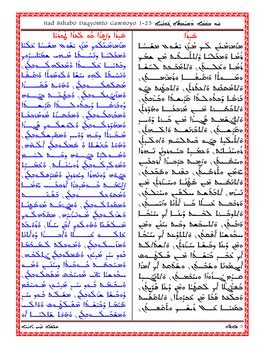Had Bshabo Daqyomto Gawnoyo 1-25 مَسْتَعْمَى 1-25 هْرِذًا وَرَجْزًا هُم كَكِّدًا يُّوذُمُّا مأمرزهُملَكُمبِ مُنَى تِمُمِيدِ مِعْسَلِ تَبِكْتُلِ هُزَهْرَهُمُ لَكُمْ هُنَّ مُعْمَلًا هَمَّسُلًّا ةُهدَكْسًا وِتَسْمِيكًا هُـــوم حَقَّتَاتَوْهِر ذُهُا هَعنَكْنَا وْٱلْمُسْلَّمَا قْبِ هِعُبِ وضْهُمُـــا تَحكُــــماُ أَمَّعْكُلُوهُكُـــومِكَ. وُهُــا مكـــممَّهِ. 13مَكَـــم حَمَّمُـا دَّسَٰىلًا لَاوه سَعْا وَلَاهِ هَا وَاهُبِهَا ەھُـــــەلُم ەَاھُـھُـــــا ەۆھزىمــــكَ . هُعكُمگْــــــــــــــــــــــــزُا صَّصَّـــــــزُا صَرْحَـ مَعْهُدا هَ/حَذَّفَ بِهِ هَ/احكَمِدا حَكَمَـ ةُهارَى بِكُـــهِ مِنْ مِنْ مَكْسَــدْ صَـــةُ وه دَّعْمَا وَحِدُّهِكُمَّا هَبُعِجَّا هَدَّدَهَدٍ. ةُ ٱلْمَشَّطَ ۖ ذَا شَعْبَ هَٰذِهِ مَعْهُ ۖ أَوْ مَعَهُ مِنْهُمْ مِنْهُمْ مِنْهُمْ مِنْهُمْ مِنْهُمْ ةُمحَٰ;حكُــوجِكَ . ةُمحَحَصــزَٰا مُّدمَد:حكُــا شَامِعَ مِنْ انْسِرْهُمْ مُسْتَمَرْدًا وَءُنِ ةُهْهُوَوْجٌـــوجِــهُ مُحْقِمِكْــورِ فَي أَرَا ەھْبِھَىمْ) ، قالمۇنىھىدا قاللاسھالى . مُسَكِّرْاً وَحْدَه وَهُـبِ ةَمِعَرِهِگُـمِدَلِّي. دْيْمْشْكْرْمْ صْكْلْمْسْمْ دْيْمْشْكْرْبْدْيْهْ هُهُمْا خَرْبُعُـٰلِهُ ﴾ هُعِنُـُـومِكُمْ أَبْـُــْهُمْ. وْْەمْنُــانُـكْ. ەَـحْكَـــرِا حَـنُــەوْوِبُ نَـــْ∞وْا ەمئىگىمىگە . ەزەبىم كېچىلا أذخنىپ ەْھُمكىگىمچكى ۋەمئىللىك ، ەڭھىسىم غَەمَّى ماُوْھَـىمُ). دقىـد ەھَكىـدُ). جَهْة وَوَسُووُا وِشَوْوِبُ وَمُنْتَوْهُ مِكْدِدِكَ . ة/انَشَــدا شَــ هُوُنُــا منَــزَوْلُ شَــر وْلْتَعَكّْكُمْ شَسْمَعُودُوْا أَوْحِكْسِبْ غَوْهُكْسَار ئىنْ«. أَلْمَكْعِيدْ سِكْفَبِ مِنْتَكِيلُ . هُوْتُحِـــدُ نُّدَـــلًا حَـــز أَلْمُلُا هَٰكَســدُى. ةَ محَمَدِكُمْ حَجِبٌ مَنْ مَجْمَعِيْهِمْ مَعْ مَعْ مَسْتَمْرِيْسَا ةُ هُزْكُــدِيكُمْ شُــدِيّدُبْتِرْهِ . مِيكَنْزْهِ كَــدِيرِ ة/اوجَــزا لِكَـــما وُسُــا أَبِ مَنْحُــا ةَاصَّلُمْ) : قَالِمُعْتَمِّعَةَ وَشَيْئًا مِثْلُمْ وَشَيْ قْسَلَاهُمَّا ةُھُەڭمېر آَکَ مَمْلًا. ةُؤُەْمَكَا مىثُّەھمُّا أَقْعَكُنْ. ةُالْمَلَوُّىلا أَبِنْ مَنْشَا كَاكْسِيهِ كَمِيسْلًا ةُأَهْسَيْرًا وُهِ أَمْلَا ەقتارسىگىمىكى . ەڭمەككە گى*كسىڭ*كار 0هُمْ وُمِلًا وِصَّهُا مُنْزَوْلُي. 16هـ%/كَــد ثُمو مَرِ هُرِئُم، ةَهْعَكُمْدِكُمْ كَالْكُتْلَةِ . |أُبِ خُصَّـــم حُتمُـــدُا هَــــب هَـنكُوُـــــوهـ ةُهتَدِهَكُمْ دُحْدَدًا وَعَيْبُ وَهُدُ أَسِيعُونًا وَهَجَسِيمٌ . وَهُذَهَ لَهُ أَهْرُوا ستُممبُل كَانُب شُمسُتْها شُفَعِكُمْدِجُ . لمبردله المشتقين المأسر وبنق ةُستَنفَكُ شَدُو شَبْ هُرِشُدٍ هُندَسْتَمْ خَعْتُهِمَّا أَبِ خَعَجُمًا هِ مَ وَّسًا فَعَهِمَّهِ . وُّەصُمُا مْزْكُومِكَ ، مَمَّىكىلا شُوم مَّىر ەَحكْدە فَدُا مْع كَدَوْماْل وْالمْفَسْد هَنْعُما وَحُتِمُكُمْ هُدَّىكُمُّدَتَّ وَّةَاكُتَ حقَّسُــا كَــــلا قُـمُـــو مأَهْفـــمُّـدٍ. ةُهمَّحُسْگُـــهِجِكِ . ةُهُمْ مَالِكْـــا أَه كمنكم لمَهْم وكمُولكة শ্ৰুষ্কৃ ১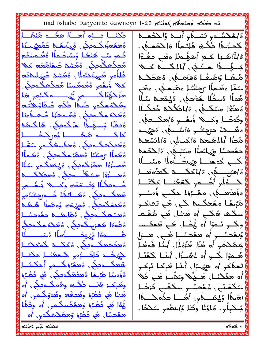Had Bshabo Daqyomto Gawnoyo 1-25 مَسْتَعْمَى 1-25

ككئسا مسؤه أهسأا ععنْسه مَنْهُسا ةُ مِعْمَى وَالْكُلْمَصِلِّ . هُي أَنْعَظَ خَصَصَ بِأَمْ ثُـوو مَبْ هَنُعُـا وُسَنرْشُـواْل ةَهُـومُنُفُع مُعِكْمِكَمِعِكِ . ةَمُسْمْ شَمَّاهُشُو كَلَّا فُللُّەبِر شَيْخَشَمْلَا. ةَهَشَمْ شَيُّها مِمْشَر لَىلا وُّىفُومِ وُهُوهُسْمَا هُمَكُمْكُومِكِ . ومَكْمَعْكُمْ دَّىْمَا ۖ ثَكُرُه شَفَاوْجُلَتُهِ ةَمَكَمَعْكُمْدِجُ . ةَمَتّْمَعَنُهُ شَيْعَةُوتَهُ ةَدفُرًا وُسِيهُماْ هِرْكُودِكَ . هَا كُنفَه ةُمُ*ككُمْكُـ*وكِي. ةُمك*ِّنبِمثَكَّـوي مَشْـا* ەْھَماْل رْجِئْنُا ەْھەرھەگەدىكى. ەْھَماْل هُدسَوَٰہُ | مَکْرَبُکُومِکَ ِ. ہُکْتَعَلَّـٰدِ مِّـُلَّا ةُهِـــزُوْٓا هِمَىْلَاَـْـــومِكَى وَهُهِكَكَـــدَ كُـــدْكْمُلَا وُكْــــتْدْتُرْهِ ۖ وكُــــــلا ۖ وُّحَفَّـــدير مُعدَّــــوجِّــ . ةَمَــــائِكَمَا خُــــوْجِئْنُوْو ةُهُدهَكُومِكُ . ةُجَهْدُه وُوهُووُا شَيعُكُ ةَ مِسْمِكُــوجِكِ . ةَ مَا مِكْـــدِ حِمْوصُــا ةُهُوَا مُعرَّبِىلُومِكَ . ةُمَّلْهُمْلُومِكَ هُـــــهُ الْمَعْلِيمُــــــزُه أَمْـــــــلَّا ةُمخُمْعِكُمْ وَبِكْي. ةَكَتْلَكُمْ كُونْبَكْسَارْ كَيْدُو خَاجَبَ وَبِي كَنْمَعَنْنَا تَكْتَبَا ھَعنگ وجڳ ۽ هُعمَّرُونگ وير آنڪسَ*نا* ةُؤْمِنًا هَبُنُهَا ةُمِنْتُشَكَّدِيكُمْ . مَنْ يُحُكِّرْ وهُرِكَ وَاتَّبْ ثُلُّـاتِهِ وِرْهُه گُــهِ دِحْلِ فِي اُه هُزِيُل هُم حُصُرُو وهُدفَه وهُدوْكُدين أُه لُهُ أَ لَى ذُهُبُوْ وْهِمُكُسْلُهِنَّ أَو وَتَكُلَّ ھكصلا. ھُي ھُھُرُو وْھھَكُھير. اُه

سَلمُلُک دَّبِ اللَّهُ الْمُحَمَّدُ

ة/هْكِشُـەر ئَتْسَـكُر أَسَـٰهِ وَالْكَـْمَــةِ لَحْدَبُمَا ثَكُـنَ فَائَـمِلَا هَالحَمْعِيُ. أَهُ الْمُلْغَمْ لَمَعْ الْحَمْدُ الْمَعْلَمِ وَالْمُسَامَعَ وَالْمُسَامَعَ مَنْهُمْ الْمَسْتَرَارَ أَوَسَيُّسَمُّا هِـِـَزْمَةٍ. أَعْلَمْكَــَةَ كَـــلا هَبِهُــا وَاهُبِقُــا هُڪِجُو . هُهڪُـــد مَقْا مَعْمَلًا رُجِئْنُا مِعْهِمَلٍ. مِعْم أَهْدَمُ الْمَعْدُلَا ـ هَدْرَها بِ مَ لِحْمَدِهِ الْمَعْدَ ەَهْزْوْا مِمَكْتِيْنِ. 12ْمْكْتْمْ خُصْتُنْلَا وثَقْصًا وكُلُّلا وُلْمُسْرِ هَ/مَكْلَدِيْنِ. ەھَــملم دېجنْب ەَامئــملَى. ەَجَــم هَدُا ٱلْمَلْعَظِمِ هَاكْسِنِلُ . ةَالْمُسْطِمِ ممصَّكاة بِرِهْبَيْدِه الْمَثْلِيِّهِ لِسْمَعْمَ كَاهِمَ بِهِ مُكْلِدٍ وَالْمُكْسِدِ كَعِتَوْهُ هَــا لِمَـــفَلَر أَخُـــور كَمَعَنْـــا تَكْتَـــا ەؤھۋىكىلە. مۇخۇلم ككىب ۋەئىس |هَبُعُه معَعكِمه كَبِ. هُبِ تَعْبُصُرِ مىڭگ ھُڭب /ُە ھُزْمَا. ھَـٰ ھُھَـٰڡ وِكْتُو تَبْدَوْا أَنْ يُضُلَّى هُجَ شَعْفَيْت وَبَعُدَسُتِ أَه هَعُدَسُتَا هُبِ. هَنْوَل |وَبِـمَكِـمُو أَهِ هُـٰٓأَ هُـٰٓئُوۡدَٰٓأًا ﴾ أَمِنُـا هُـهِ هُـا |هَــوْا كُــوٍ أَه لِمُقَــزًا. أَسُـل كَـهُنُـل تَعَكّْكُمْ أَهْ هِيُجْلَ. أَمْلًا هُرِكْمَا تَرِكْسُ أَه مخَلَسًا. مَحْلًا مِكْسَن مَع فَلا مَكْفَتَبٍ. الْمُحسُّرِ مِكْفَبٍ دَهُـا اشْحَاً وَلِحْسِجُرِ. أَهُــا حِدْهِكِــأَا |وُ؎ْكِيلُنِ. هَاوَتْنُا وِكْتُا وَاسْعُمنِ مَكْحُل.  $\mathcal{R}$ المحرب و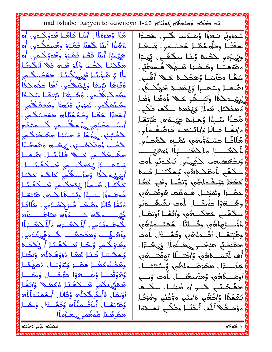Had Bshabo Daqyomto Gawnoyo 1-25 مَسْتَكَمَ 5-1

هُٰذُا وَهِۃُوُلًا. أَمَّا قَاهُا هُدَوْكُدِ. أَه لِمَمْزًا أَمِنًا كَمِثَلِ دُهُمَ; وهُسِتِكُم بِ. أَه هيَّ إِلاَّ أَمِثْلِ هَتَّــزِ دُهُــزَوِ وهُدوَكُـدِينِ أَو محَكْسًا حَدُّس وْآْلُوْ قْدِهِ فَكَلا لَّالْحُسَبَارْ ولًا مُ هُوْمَنَا قَبِي كُنِنَا. مِمَّضَبِكُورِ ةُدَّنفًا تَبْكُلُّ وْلِحْتَكْمِرٍ. أَمُّا حَذْهَكُمَّا وهُمكْبِكُمْمٍ. ةَهُبِرْتُنَا تَبْتَقْطَ مَكْمًا وهُنتُعَكُّمِر. غُوَوِبُ وَّتُووُّلُ وِهُدَفَـْلَأُمْرِ. أَمَّدْرَا هَقْدَا وَحُدُّهُلِّلُه مِمَّحِسِّكُوبِ ۖ. أسئده كثره وتمسك أستريح ومشاهدا لْحُبُرَبَنِ فَيَاهَمَ وَالْمَيْنَ مِنْ مَحْمَدًا كُلُّومٍ لِخُصُبٍ وَوَصَلَاهُمِنٍ وَلِيَحِشَدُوا وَهُمَعَكُمُ وَلَ مكْسِمْكُدِ كِلْمَ فَلِلَّمْسَا. اصَّفْط وُسَنْدَ أَوْ لِخْمَكْ وَ مُسَكْفَّتُ الْ أَجُرْبُهِكُمُ أَوْهَدُ سِيَكْمِ كَلِكُمْ تَحْكُمْ تْكْتُا. مُحْمَلًا لِحْمَدْحُمِ مْسَكْفَسًا. دُّەمَّدۇل سَّىراُل وتسَيغا جَي مَّتِمْكِ ةُنُقُّا دَّاتْا وِهَٰىغَب شُمَّحْضُوُّوي. هَٰلَاضُا كَيْمِ مَسْمَدُوا مِسْمَاءَ وَالْمَالِكَ وَوْرَةِ مِسْمَارِهُمْ مِسْتَرَوْرَةِ كُمصَّمَوْمُومِر. أَلَمْ حَقَسْوْهِ ۚ وَٱلۡمَكۡسَـٰٓءُٱ ا وَأَشَمَّــ وَهَدَّهِمَّــ لَّــوَفَيْءَ وَمِنْ وهُزَوَكُم وَحَفَا هُسَكُفَسًا أَيْلَكُمُ وَحَكْتَسْأَ حُمَّا كَعْدَا ةُوْفَكْلُو وَتَحْتَارُ وقَدَّسْهُكَعُكُمْ هُمْدَ وَخُوُصًا. ةُعَهُدُكُمْ وَهَوُقْكُ وَهُـــــةَوْا حَثَمْكُــــا. وُحَفَـــا قْلِمُهْلِمُكُمْ قْسَلَكْفُسًا ةْخْفَكْ وْإِنْشَا أَوُتِقَالَ وَأَحَكَّرَ كَمَلَاهِ وَكَاتًا وَأَحْمَدُهِ أَعْلَمُوا وَهَّتِهْمِلْ. أَمَاثُمْ هَلَّلْهِ وَكَعُمْشَلْ. وُمَعَّمَا الْمَشْتَمِرِ بِمَعْمَعْ الْمَعْبِضَةَ الْمَسْتَمِينَ

شَدَوْوِلُ لَـْـ30َوْا وَهــدَمــ كُـــرِ. هَـَـــْزَا لمعَتُبا ودأُه مَخْتَبا لَمُحِسَّمِنٍ. وَصَحْبا وِيُّجُومِ لِكَسْلا وُسُلْ سِكْفَبٍ. يُّجْرَا ەمّْقەشل وھَىصَّىْل شَــوْبُلا فُــەوْمُبُع. مَعْدًا ودْرْسْل وُهكَكِمْ كَحِلا أَقْبِي. اهَعْصًا وسْعَــرُا وَلِحْعَــدْ شَوْخُــدًى. لُهُكُما وَٱسْلَامِ كَمِلا وَٱمْلا وَّهُمَا وَّهُمَا |ەَھكَكْنَا. هُدَاْ أَوْلِخْصَه مَكْفَ ثُكُنَّ. هَدَزَا سَبِلَمْ وَحِزَى هَذَا حَيْدَهِ . هَزَتْهَا ِّهِ إِنْشًا شَاتْا وْالمْتَبْعِدِ خَرْهُبِڤُءلُنِ. ِ هَٰلَاتْـا حِسْـهُ تَوْمِهُى ۚ عَهَـٰزِهِ ۖ حَهَجــزُنٍ . لَمْحَمَّنَــــــْ إِلَهَ مَلَّكَمَحْمَــــــ بِٱلْمَرْجَةِ هُوَ صَــِـــــ وَبِكَتّْفَعْنُدُوهِ لِكَيْجُودٍ. تَزَعْدَتُو لِمُوت سكفَى أَهقَكُمْ هُو، وَحكْتَسْا تَحْمَ كَعْفَا وَبُـفُـماهُم وَّتَحُبْا وِهْمِ كَعُـا حمَّىـُزَا وِحُوُصْلٍ. فُــوِهُم ‰وُهَنَــوُهِ ۖ وهُـــةوْا حَتَّىثْـــا. لِمُعْتَ نَفَّىشُـــونُر سكفَب كَعكْسُوهُ وإِنْغُا أَوُتِهْا. المؤسسؤها هُي وصَّلتْل هُهنُسماهُي وهَبْتُمْــا. ٱفْــواهُٯ وكَعُــــٰٓزَا. لِمُوت باشْتْمَى الْمَشْتْمِي بِمَمْبْهِ رِبْحَنْهُمْ . أُهِ أَتِسُــدُهُو، وَ/حٌتــلَّا رُوهُتـــوُو، وَبِرَّدَ شَرَا . مِجْمَعْ مِشْدَارُهُ فِي مُسْتَرْسَلِ الْمَرْسَلِ أوهُـــــٰهُ۞ وَمِتَنسمُنْـــــــل: لمُهِت وَـــب ھفَىقَىنَے كُـــوٖ أَه هُزئـــا. مىڭـــف لَّفَعُكُا وَُٖاحُقَّى هَٰاسَّى هَوَّحُنِّى وِهُوَحُـٰا هَوَدَــثَـلا أَلَمُو. أَمكَنُــا وثَكَــى تَـمـــدةا

كنفته ترب وكافته